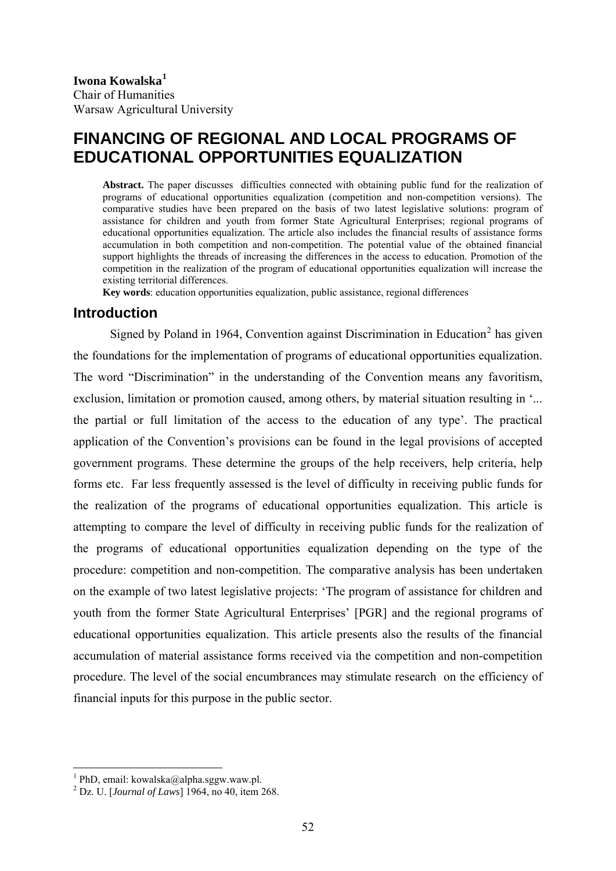# **FINANCING OF REGIONAL AND LOCAL PROGRAMS OF EDUCATIONAL OPPORTUNITIES EQUALIZATION**

**Abstract.** The paper discusses difficulties connected with obtaining public fund for the realization of programs of educational opportunities equalization (competition and non-competition versions). The comparative studies have been prepared on the basis of two latest legislative solutions: program of assistance for children and youth from former State Agricultural Enterprises; regional programs of educational opportunities equalization. The article also includes the financial results of assistance forms accumulation in both competition and non-competition. The potential value of the obtained financial support highlights the threads of increasing the differences in the access to education. Promotion of the competition in the realization of the program of educational opportunities equalization will increase the existing territorial differences.

**Key words**: education opportunities equalization, public assistance, regional differences

#### **Introduction**

Signed by Poland in 1964, Convention against Discrimination in Education<sup>[2](#page-0-1)</sup> has given the foundations for the implementation of programs of educational opportunities equalization. The word "Discrimination" in the understanding of the Convention means any favoritism, exclusion, limitation or promotion caused, among others, by material situation resulting in '... the partial or full limitation of the access to the education of any type'. The practical application of the Convention's provisions can be found in the legal provisions of accepted government programs. These determine the groups of the help receivers, help criteria, help forms etc. Far less frequently assessed is the level of difficulty in receiving public funds for the realization of the programs of educational opportunities equalization. This article is attempting to compare the level of difficulty in receiving public funds for the realization of the programs of educational opportunities equalization depending on the type of the procedure: competition and non-competition. The comparative analysis has been undertaken on the example of two latest legislative projects: 'The program of assistance for children and youth from the former State Agricultural Enterprises' [PGR] and the regional programs of educational opportunities equalization. This article presents also the results of the financial accumulation of material assistance forms received via the competition and non-competition procedure. The level of the social encumbrances may stimulate research on the efficiency of financial inputs for this purpose in the public sector.

<u>.</u>

<span id="page-0-0"></span><sup>1</sup> PhD, email: kowalska@alpha.sggw.waw.pl.

<span id="page-0-1"></span><sup>2</sup> Dz. U. [*Journal of Laws*] 1964, no 40, item 268.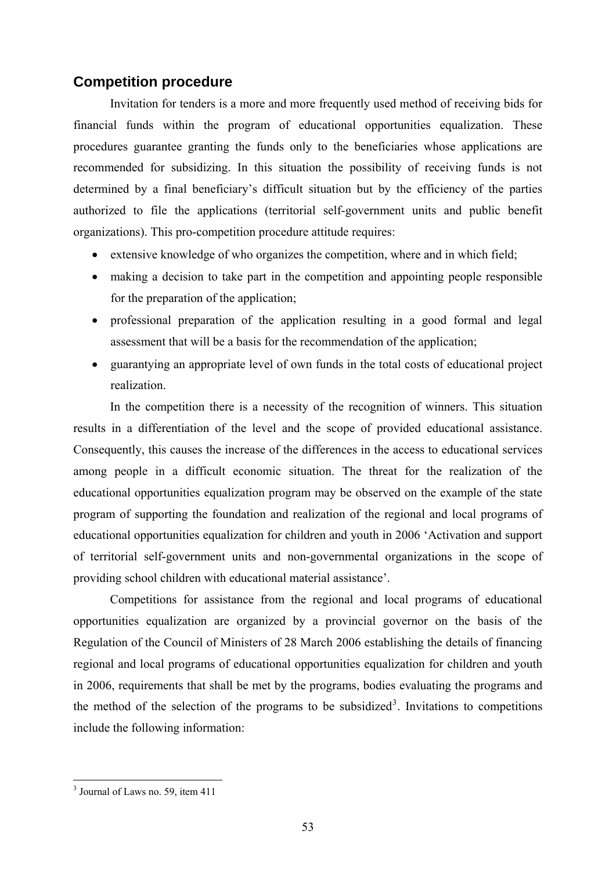## **Competition procedure**

Invitation for tenders is a more and more frequently used method of receiving bids for financial funds within the program of educational opportunities equalization. These procedures guarantee granting the funds only to the beneficiaries whose applications are recommended for subsidizing. In this situation the possibility of receiving funds is not determined by a final beneficiary's difficult situation but by the efficiency of the parties authorized to file the applications (territorial self-government units and public benefit organizations). This pro-competition procedure attitude requires:

- extensive knowledge of who organizes the competition, where and in which field;
- making a decision to take part in the competition and appointing people responsible for the preparation of the application;
- professional preparation of the application resulting in a good formal and legal assessment that will be a basis for the recommendation of the application;
- guarantying an appropriate level of own funds in the total costs of educational project realization.

In the competition there is a necessity of the recognition of winners. This situation results in a differentiation of the level and the scope of provided educational assistance. Consequently, this causes the increase of the differences in the access to educational services among people in a difficult economic situation. The threat for the realization of the educational opportunities equalization program may be observed on the example of the state program of supporting the foundation and realization of the regional and local programs of educational opportunities equalization for children and youth in 2006 'Activation and support of territorial self-government units and non-governmental organizations in the scope of providing school children with educational material assistance'.

Competitions for assistance from the regional and local programs of educational opportunities equalization are organized by a provincial governor on the basis of the Regulation of the Council of Ministers of 28 March 2006 establishing the details of financing regional and local programs of educational opportunities equalization for children and youth in 2006, requirements that shall be met by the programs, bodies evaluating the programs and the method of the selection of the programs to be subsidized<sup>[3](#page-1-0)</sup>. Invitations to competitions include the following information:

<span id="page-1-0"></span><sup>&</sup>lt;sup>3</sup> Journal of Laws no. 59, item 411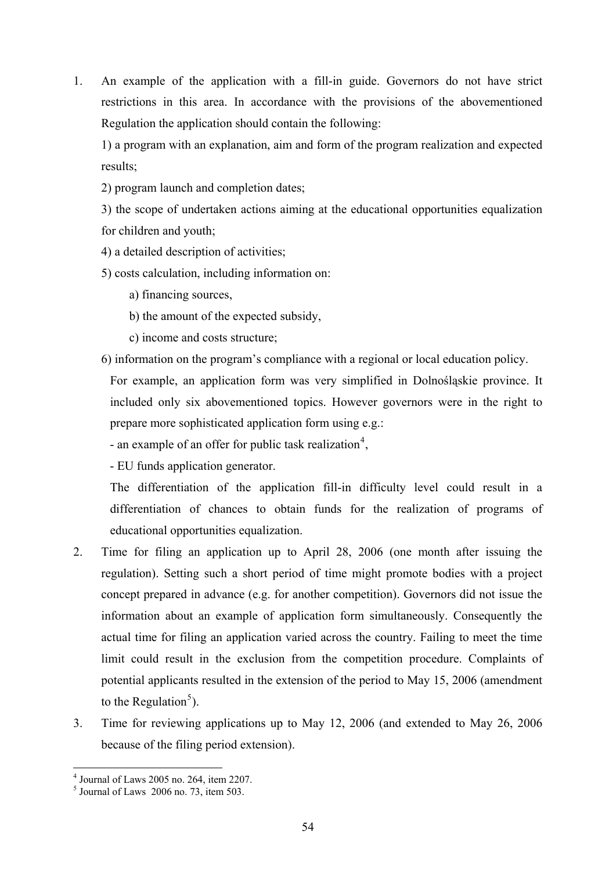1. An example of the application with a fill-in guide. Governors do not have strict restrictions in this area. In accordance with the provisions of the abovementioned Regulation the application should contain the following:

1) a program with an explanation, aim and form of the program realization and expected results;

2) program launch and completion dates;

3) the scope of undertaken actions aiming at the educational opportunities equalization for children and youth;

- 4) a detailed description of activities;
- 5) costs calculation, including information on:
	- a) financing sources,
	- b) the amount of the expected subsidy,
	- c) income and costs structure;
- 6) information on the program's compliance with a regional or local education policy.

For example, an application form was very simplified in Dolnośląskie province. It included only six abovementioned topics. However governors were in the right to prepare more sophisticated application form using e.g.:

- an example of an offer for public task realization<sup>[4](#page-2-0)</sup>,

- EU funds application generator.

The differentiation of the application fill-in difficulty level could result in a differentiation of chances to obtain funds for the realization of programs of educational opportunities equalization.

- 2. Time for filing an application up to April 28, 2006 (one month after issuing the regulation). Setting such a short period of time might promote bodies with a project concept prepared in advance (e.g. for another competition). Governors did not issue the information about an example of application form simultaneously. Consequently the actual time for filing an application varied across the country. Failing to meet the time limit could result in the exclusion from the competition procedure. Complaints of potential applicants resulted in the extension of the period to May 15, 2006 (amendment to the Regulation<sup>[5](#page-2-1)</sup>).
- 3. Time for reviewing applications up to May 12, 2006 (and extended to May 26, 2006 because of the filing period extension).

<u>.</u>

<span id="page-2-0"></span><sup>4</sup> Journal of Laws 2005 no. 264, item 2207.

<span id="page-2-1"></span> $<sup>5</sup>$  Journal of Laws 2006 no. 73, item 503.</sup>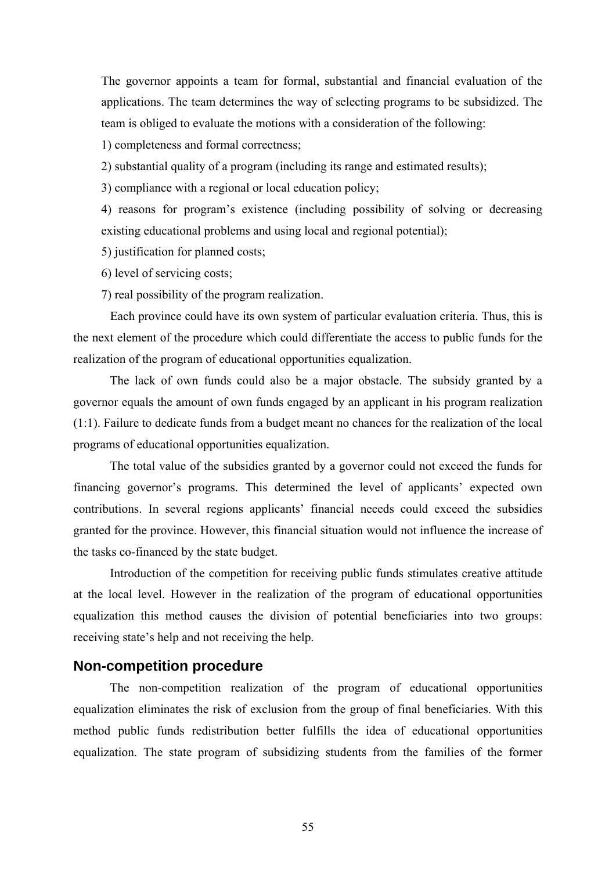The governor appoints a team for formal, substantial and financial evaluation of the applications. The team determines the way of selecting programs to be subsidized. The team is obliged to evaluate the motions with a consideration of the following:

1) completeness and formal correctness;

2) substantial quality of a program (including its range and estimated results);

3) compliance with a regional or local education policy;

 4) reasons for program's existence (including possibility of solving or decreasing existing educational problems and using local and regional potential);

5) justification for planned costs;

6) level of servicing costs;

7) real possibility of the program realization.

Each province could have its own system of particular evaluation criteria. Thus, this is the next element of the procedure which could differentiate the access to public funds for the realization of the program of educational opportunities equalization.

 The lack of own funds could also be a major obstacle. The subsidy granted by a governor equals the amount of own funds engaged by an applicant in his program realization (1:1). Failure to dedicate funds from a budget meant no chances for the realization of the local programs of educational opportunities equalization.

 The total value of the subsidies granted by a governor could not exceed the funds for financing governor's programs. This determined the level of applicants' expected own contributions. In several regions applicants' financial neeeds could exceed the subsidies granted for the province. However, this financial situation would not influence the increase of the tasks co-financed by the state budget.

 Introduction of the competition for receiving public funds stimulates creative attitude at the local level. However in the realization of the program of educational opportunities equalization this method causes the division of potential beneficiaries into two groups: receiving state's help and not receiving the help.

### **Non-competition procedure**

 The non-competition realization of the program of educational opportunities equalization eliminates the risk of exclusion from the group of final beneficiaries. With this method public funds redistribution better fulfills the idea of educational opportunities equalization. The state program of subsidizing students from the families of the former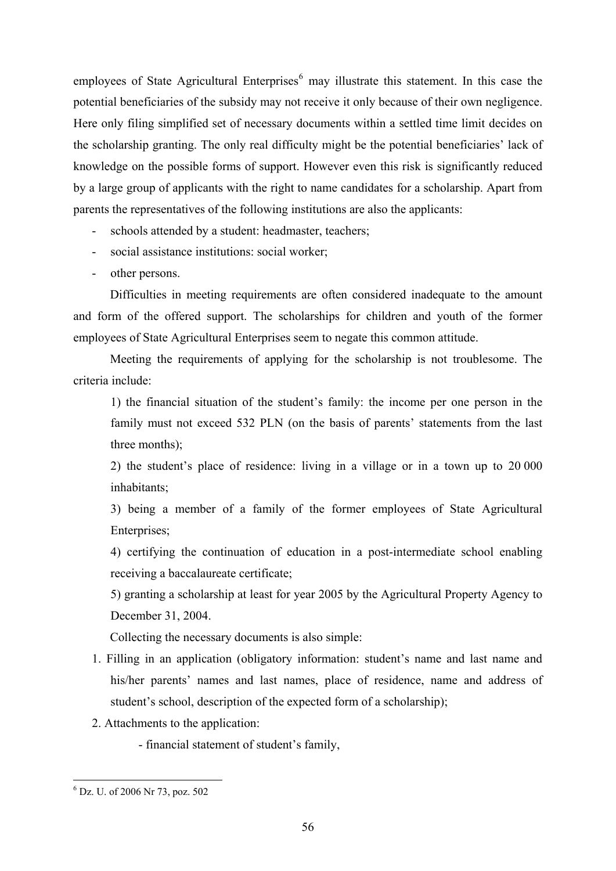employees of State Agricultural Enterprises $<sup>6</sup>$  $<sup>6</sup>$  $<sup>6</sup>$  may illustrate this statement. In this case the</sup> potential beneficiaries of the subsidy may not receive it only because of their own negligence. Here only filing simplified set of necessary documents within a settled time limit decides on the scholarship granting. The only real difficulty might be the potential beneficiaries' lack of knowledge on the possible forms of support. However even this risk is significantly reduced by a large group of applicants with the right to name candidates for a scholarship. Apart from parents the representatives of the following institutions are also the applicants:

- schools attended by a student: headmaster, teachers;
- social assistance institutions: social worker;
- other persons.

Difficulties in meeting requirements are often considered inadequate to the amount and form of the offered support. The scholarships for children and youth of the former employees of State Agricultural Enterprises seem to negate this common attitude.

Meeting the requirements of applying for the scholarship is not troublesome. The criteria include:

 1) the financial situation of the student's family: the income per one person in the family must not exceed 532 PLN (on the basis of parents' statements from the last three months);

2) the student's place of residence: living in a village or in a town up to 20 000 inhabitants;

3) being a member of a family of the former employees of State Agricultural Enterprises;

4) certifying the continuation of education in a post-intermediate school enabling receiving a baccalaureate certificate;

5) granting a scholarship at least for year 2005 by the Agricultural Property Agency to December 31, 2004.

Collecting the necessary documents is also simple:

- 1. Filling in an application (obligatory information: student's name and last name and his/her parents' names and last names, place of residence, name and address of student's school, description of the expected form of a scholarship);
- 2. Attachments to the application:

- financial statement of student's family,

1

<span id="page-4-0"></span><sup>6</sup> Dz. U. of 2006 Nr 73, poz. 502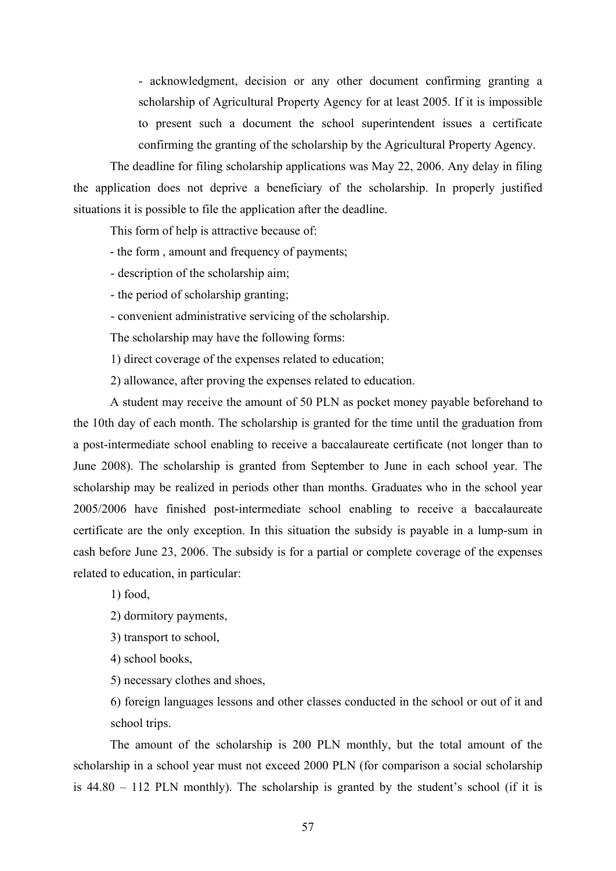- acknowledgment, decision or any other document confirming granting a scholarship of Agricultural Property Agency for at least 2005. If it is impossible to present such a document the school superintendent issues a certificate confirming the granting of the scholarship by the Agricultural Property Agency.

The deadline for filing scholarship applications was May 22, 2006. Any delay in filing the application does not deprive a beneficiary of the scholarship. In properly justified situations it is possible to file the application after the deadline.

This form of help is attractive because of:

- the form , amount and frequency of payments;
- description of the scholarship aim;
- the period of scholarship granting;
- convenient administrative servicing of the scholarship.

The scholarship may have the following forms:

1) direct coverage of the expenses related to education;

2) allowance, after proving the expenses related to education.

A student may receive the amount of 50 PLN as pocket money payable beforehand to the 10th day of each month. The scholarship is granted for the time until the graduation from a post-intermediate school enabling to receive a baccalaureate certificate (not longer than to June 2008). The scholarship is granted from September to June in each school year. The scholarship may be realized in periods other than months. Graduates who in the school year 2005/2006 have finished post-intermediate school enabling to receive a baccalaureate certificate are the only exception. In this situation the subsidy is payable in a lump-sum in cash before June 23, 2006. The subsidy is for a partial or complete coverage of the expenses related to education, in particular:

1) food,

2) dormitory payments,

3) transport to school,

4) school books,

5) necessary clothes and shoes,

6) foreign languages lessons and other classes conducted in the school or out of it and school trips.

The amount of the scholarship is 200 PLN monthly, but the total amount of the scholarship in a school year must not exceed 2000 PLN (for comparison a social scholarship is 44.80 – 112 PLN monthly). The scholarship is granted by the student's school (if it is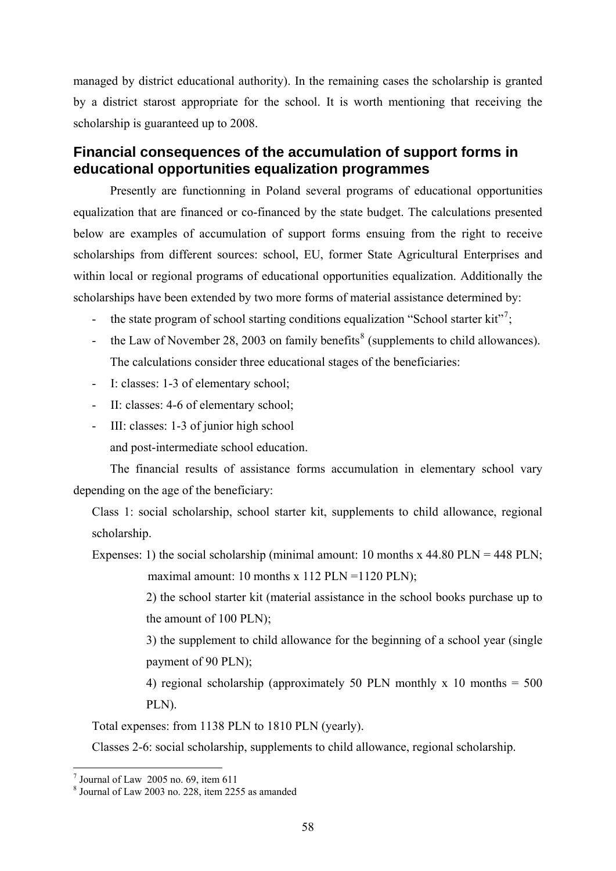managed by district educational authority). In the remaining cases the scholarship is granted by a district starost appropriate for the school. It is worth mentioning that receiving the scholarship is guaranteed up to 2008.

## **Financial consequences of the accumulation of support forms in educational opportunities equalization programmes**

Presently are functionning in Poland several programs of educational opportunities equalization that are financed or co-financed by the state budget. The calculations presented below are examples of accumulation of support forms ensuing from the right to receive scholarships from different sources: school, EU, former State Agricultural Enterprises and within local or regional programs of educational opportunities equalization. Additionally the scholarships have been extended by two more forms of material assistance determined by:

- the state program of school starting conditions equalization "School starter kit"<sup>[7](#page-6-0)</sup>;
- the Law of November 2[8](#page-6-1), 2003 on family benefits<sup>8</sup> (supplements to child allowances). The calculations consider three educational stages of the beneficiaries:
- I: classes: 1-3 of elementary school;
- II: classes: 4-6 of elementary school;
- III: classes: 1-3 of junior high school
	- and post-intermediate school education.

The financial results of assistance forms accumulation in elementary school vary depending on the age of the beneficiary:

Class 1: social scholarship, school starter kit, supplements to child allowance, regional scholarship.

Expenses: 1) the social scholarship (minimal amount: 10 months x 44.80 PLN = 448 PLN;

maximal amount: 10 months x 112 PLN =1120 PLN);

2) the school starter kit (material assistance in the school books purchase up to the amount of 100 PLN);

3) the supplement to child allowance for the beginning of a school year (single payment of 90 PLN);

4) regional scholarship (approximately 50 PLN monthly x 10 months  $= 500$ PLN).

Total expenses: from 1138 PLN to 1810 PLN (yearly).

Classes 2-6: social scholarship, supplements to child allowance, regional scholarship.

 7 Journal of Law 2005 no. 69, item 611

<span id="page-6-1"></span><span id="page-6-0"></span><sup>8</sup> Journal of Law 2003 no. 228, item 2255 as amanded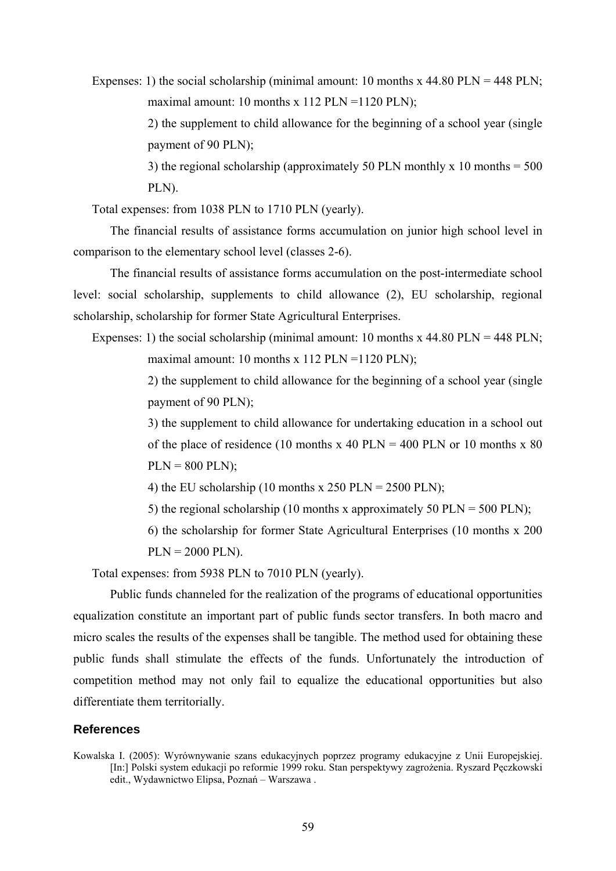Expenses: 1) the social scholarship (minimal amount: 10 months x 44.80 PLN = 448 PLN; maximal amount: 10 months x 112 PLN =  $1120$  PLN);

> 2) the supplement to child allowance for the beginning of a school year (single payment of 90 PLN);

> 3) the regional scholarship (approximately 50 PLN monthly x 10 months  $=$  500 PLN).

Total expenses: from 1038 PLN to 1710 PLN (yearly).

The financial results of assistance forms accumulation on junior high school level in comparison to the elementary school level (classes 2-6).

The financial results of assistance forms accumulation on the post-intermediate school level: social scholarship, supplements to child allowance (2), EU scholarship, regional scholarship, scholarship for former State Agricultural Enterprises.

Expenses: 1) the social scholarship (minimal amount: 10 months x 44.80 PLN = 448 PLN; maximal amount: 10 months x 112 PLN =  $1120$  PLN);

> 2) the supplement to child allowance for the beginning of a school year (single payment of 90 PLN);

> 3) the supplement to child allowance for undertaking education in a school out of the place of residence (10 months x 40 PLN = 400 PLN or 10 months x 80  $PLN = 800$  PLN);

4) the EU scholarship (10 months x 250 PLN = 2500 PLN);

5) the regional scholarship (10 months x approximately 50 PLN = 500 PLN);

 6) the scholarship for former State Agricultural Enterprises (10 months x 200  $PLN = 2000$  PLN).

Total expenses: from 5938 PLN to 7010 PLN (yearly).

Public funds channeled for the realization of the programs of educational opportunities equalization constitute an important part of public funds sector transfers. In both macro and micro scales the results of the expenses shall be tangible. The method used for obtaining these public funds shall stimulate the effects of the funds. Unfortunately the introduction of competition method may not only fail to equalize the educational opportunities but also differentiate them territorially.

#### **References**

Kowalska I. (2005): Wyrównywanie szans edukacyjnych poprzez programy edukacyjne z Unii Europejskiej. [In:] Polski system edukacji po reformie 1999 roku. Stan perspektywy zagrożenia. Ryszard Pęczkowski edit., Wydawnictwo Elipsa, Poznań – Warszawa .